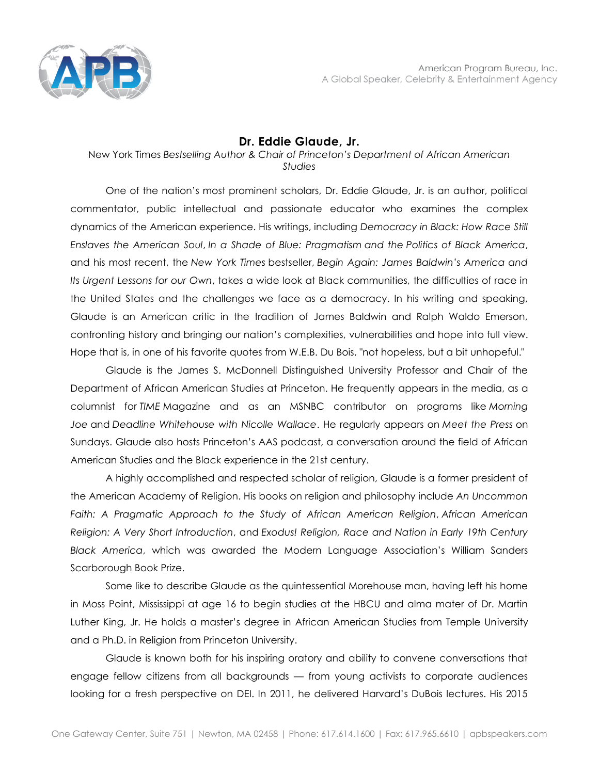

## **Dr. Eddie Glaude, Jr.**

## New York Times *Bestselling Author & Chair of Princeton's Department of African American Studies*

One of the nation's most prominent scholars, Dr. Eddie Glaude, Jr. is an author, political commentator, public intellectual and passionate educator who examines the complex dynamics of the American experience. His writings, including *Democracy in Black: How Race Still Enslaves the American Soul*, *In a Shade of Blue: Pragmatism and the Politics of Black America*, and his most recent, the *New York Times* bestseller, *Begin Again: James Baldwin's America and Its Urgent Lessons for our Own*, takes a wide look at Black communities, the difficulties of race in the United States and the challenges we face as a democracy. In his writing and speaking, Glaude is an American critic in the tradition of James Baldwin and Ralph Waldo Emerson, confronting history and bringing our nation's complexities, vulnerabilities and hope into full view. Hope that is, in one of his favorite quotes from W.E.B. Du Bois, "not hopeless, but a bit unhopeful."

Glaude is the James S. McDonnell Distinguished University Professor and Chair of the Department of African American Studies at Princeton. He frequently appears in the media, as a columnist for *TIME* Magazine and as an MSNBC contributor on programs like *Morning Joe* and *Deadline Whitehouse with Nicolle Wallace*. He regularly appears on *Meet the Press* on Sundays. Glaude also hosts Princeton's AAS podcast, a conversation around the field of African American Studies and the Black experience in the 21st century.

A highly accomplished and respected scholar of religion, Glaude is a former president of the American Academy of Religion. His books on religion and philosophy include *An Uncommon Faith: A Pragmatic Approach to the Study of African American Religion*, *African American Religion: A Very Short Introduction*, and *Exodus! Religion, Race and Nation in Early 19th Century Black America*, which was awarded the Modern Language Association's William Sanders Scarborough Book Prize.

Some like to describe Glaude as the quintessential Morehouse man, having left his home in Moss Point, Mississippi at age 16 to begin studies at the HBCU and alma mater of Dr. Martin Luther King, Jr. He holds a master's degree in African American Studies from Temple University and a Ph.D. in Religion from Princeton University.

Glaude is known both for his inspiring oratory and ability to convene conversations that engage fellow citizens from all backgrounds — from young activists to corporate audiences looking for a fresh perspective on DEI. In 2011, he delivered Harvard's DuBois lectures. His 2015